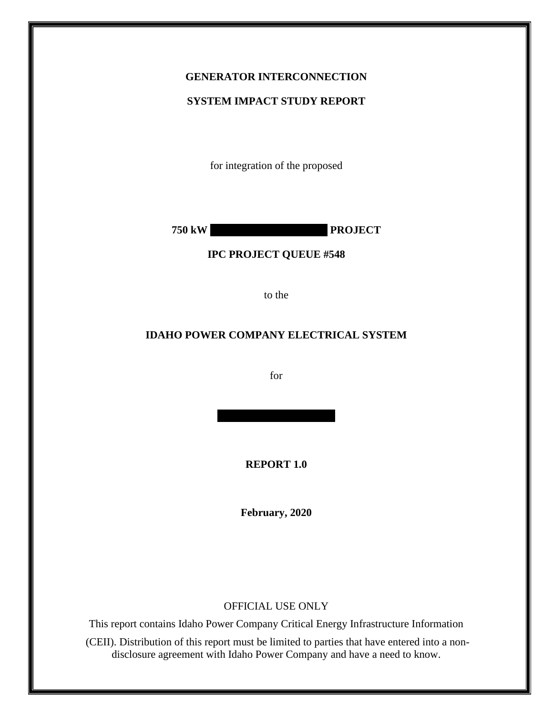### **GENERATOR INTERCONNECTION**

#### **SYSTEM IMPACT STUDY REPORT**

for integration of the proposed

**750 kW PROJECT** 

#### **IPC PROJECT QUEUE #548**

to the

#### **IDAHO POWER COMPANY ELECTRICAL SYSTEM**

for

**REPORT 1.0**

**February, 2020**

#### OFFICIAL USE ONLY

This report contains Idaho Power Company Critical Energy Infrastructure Information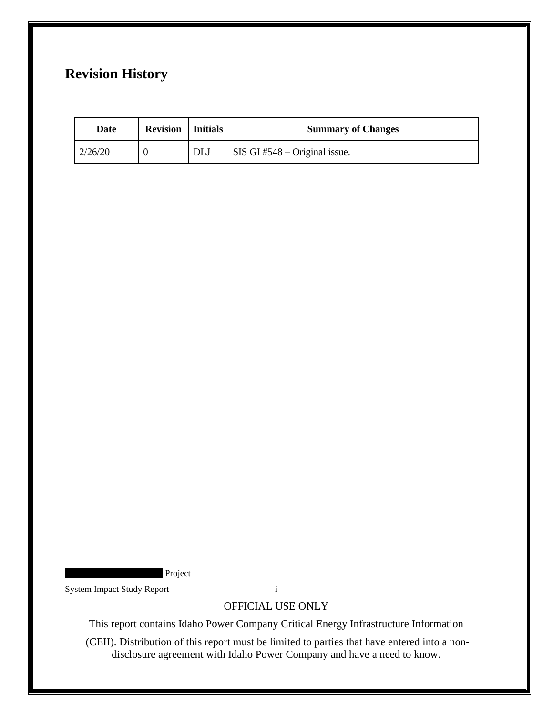# **Revision History**

| Date    | <b>Revision</b>   Initials |     | <b>Summary of Changes</b>       |
|---------|----------------------------|-----|---------------------------------|
| 2/26/20 |                            | DLJ | SIS GI $#548 -$ Original issue. |

Project

System Impact Study Report i

OFFICIAL USE ONLY

This report contains Idaho Power Company Critical Energy Infrastructure Information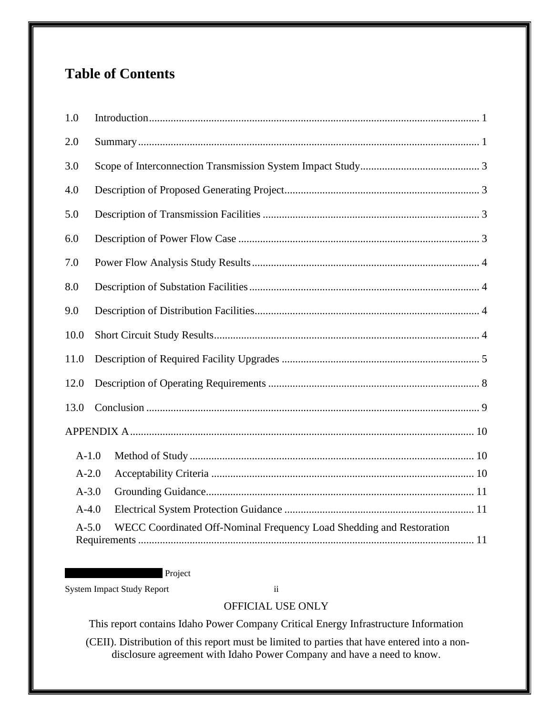# **Table of Contents**

| 1.0       |                                                                      |  |  |  |
|-----------|----------------------------------------------------------------------|--|--|--|
| 2.0       |                                                                      |  |  |  |
| 3.0       |                                                                      |  |  |  |
| 4.0       |                                                                      |  |  |  |
| 5.0       |                                                                      |  |  |  |
| 6.0       |                                                                      |  |  |  |
| 7.0       |                                                                      |  |  |  |
| 8.0       |                                                                      |  |  |  |
| 9.0       |                                                                      |  |  |  |
| 10.0      |                                                                      |  |  |  |
| 11.0      |                                                                      |  |  |  |
| 12.0      |                                                                      |  |  |  |
| 13.0      |                                                                      |  |  |  |
|           |                                                                      |  |  |  |
| $A-1.0$   |                                                                      |  |  |  |
| $A-2.0$   |                                                                      |  |  |  |
| $A - 3.0$ |                                                                      |  |  |  |
| $A-4.0$   |                                                                      |  |  |  |
| $A-5.0$   | WECC Coordinated Off-Nominal Frequency Load Shedding and Restoration |  |  |  |

Project

System Impact Study Report ii

# OFFICIAL USE ONLY

This report contains Idaho Power Company Critical Energy Infrastructure Information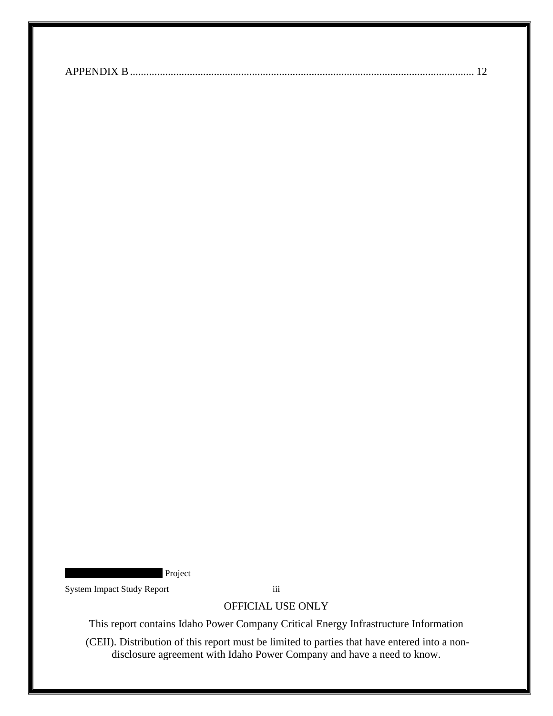|--|--|

Project

System Impact Study Report iii

OFFICIAL USE ONLY

This report contains Idaho Power Company Critical Energy Infrastructure Information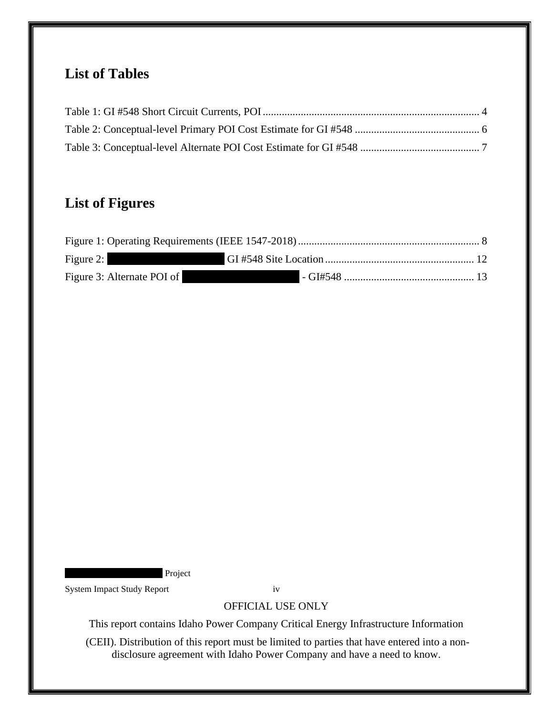# **List of Tables**

# **List of Figures**

| Figure 2:                  |  |
|----------------------------|--|
| Figure 3: Alternate POI of |  |

**Project** 

System Impact Study Report iv

OFFICIAL USE ONLY

This report contains Idaho Power Company Critical Energy Infrastructure Information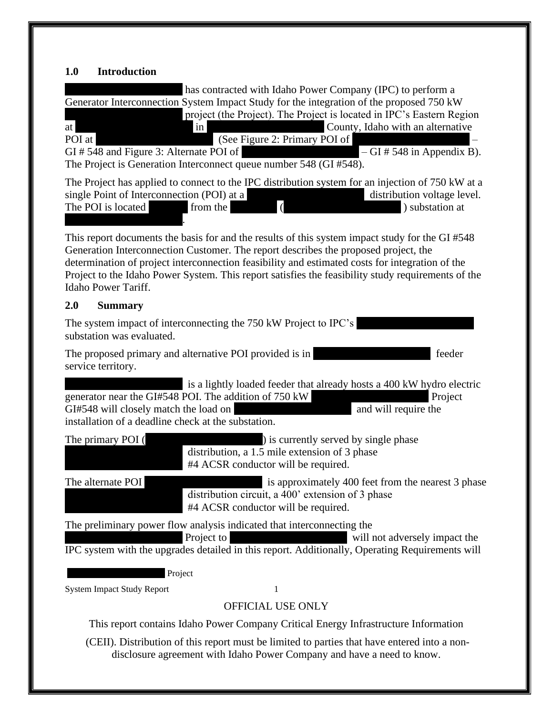# <span id="page-5-0"></span>**1.0 Introduction**

<span id="page-5-1"></span>

| has contracted with Idaho Power Company (IPC) to perform a<br>Generator Interconnection System Impact Study for the integration of the proposed 750 kW<br>project (the Project). The Project is located in IPC's Eastern Region<br>County, Idaho with an alternative<br>at<br>$\frac{1}{2}$<br><u> 1989 - Jan Jan Jawi Bandari dan Ka</u><br>(See Figure 2: Primary POI of<br>POI at<br>GI#548 and Figure 3: Alternate POI of<br>$-GI \# 548$ in Appendix B).<br>The Project is Generation Interconnect queue number 548 (GI #548). |
|-------------------------------------------------------------------------------------------------------------------------------------------------------------------------------------------------------------------------------------------------------------------------------------------------------------------------------------------------------------------------------------------------------------------------------------------------------------------------------------------------------------------------------------|
| The Project has applied to connect to the IPC distribution system for an injection of 750 kW at a<br>single Point of Interconnection (POI) at a<br>distribution voltage level.<br>$\sqrt{ }$<br>The POI is located<br>from the<br>) substation at                                                                                                                                                                                                                                                                                   |
| This report documents the basis for and the results of this system impact study for the GI #548<br>Generation Interconnection Customer. The report describes the proposed project, the<br>determination of project interconnection feasibility and estimated costs for integration of the<br>Project to the Idaho Power System. This report satisfies the feasibility study requirements of the<br>Idaho Power Tariff.                                                                                                              |
| 2.0<br><b>Summary</b>                                                                                                                                                                                                                                                                                                                                                                                                                                                                                                               |
| The system impact of interconnecting the 750 kW Project to IPC's<br>substation was evaluated.                                                                                                                                                                                                                                                                                                                                                                                                                                       |
| The proposed primary and alternative POI provided is in<br>feeder<br>service territory.                                                                                                                                                                                                                                                                                                                                                                                                                                             |
| is a lightly loaded feeder that already hosts a 400 kW hydro electric<br>generator near the GI#548 POI. The addition of 750 kW<br>Project<br>GI#548 will closely match the load on<br>and will require the<br>installation of a deadline check at the substation.                                                                                                                                                                                                                                                                   |
| The primary POI (<br>) is currently served by single phase<br>distribution, a 1.5 mile extension of 3 phase<br>#4 ACSR conductor will be required.                                                                                                                                                                                                                                                                                                                                                                                  |
| is approximately 400 feet from the nearest 3 phase<br>The alternate POI<br>distribution circuit, a 400' extension of 3 phase<br>#4 ACSR conductor will be required.                                                                                                                                                                                                                                                                                                                                                                 |
| The preliminary power flow analysis indicated that interconnecting the<br>Project to<br>will not adversely impact the<br>IPC system with the upgrades detailed in this report. Additionally, Operating Requirements will                                                                                                                                                                                                                                                                                                            |
| Project                                                                                                                                                                                                                                                                                                                                                                                                                                                                                                                             |
| <b>System Impact Study Report</b><br>1                                                                                                                                                                                                                                                                                                                                                                                                                                                                                              |
| <b>OFFICIAL USE ONLY</b>                                                                                                                                                                                                                                                                                                                                                                                                                                                                                                            |
| This report contains Idaho Power Company Critical Energy Infrastructure Information                                                                                                                                                                                                                                                                                                                                                                                                                                                 |
| (CEII). Distribution of this report must be limited to parties that have entered into a non-<br>disclosure agreement with Idaho Power Company and have a need to know.                                                                                                                                                                                                                                                                                                                                                              |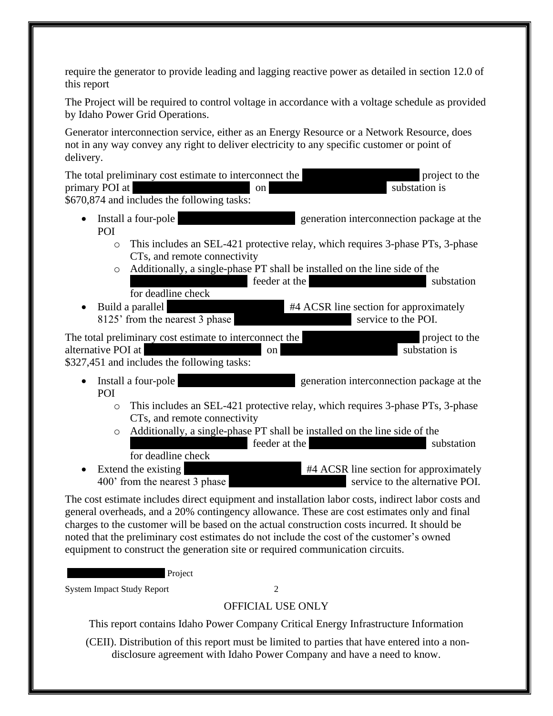require the generator to provide leading and lagging reactive power as detailed in section 12.0 of this report

The Project will be required to control voltage in accordance with a voltage schedule as provided by Idaho Power Grid Operations.

Generator interconnection service, either as an Energy Resource or a Network Resource, does not in any way convey any right to deliver electricity to any specific customer or point of delivery.

The total preliminary cost estimate to interconnect the XXXXXXX project to the primary POI at  $\qquad \qquad \text{on} \qquad \qquad \text{substation is}$ \$670,874 and includes the following tasks:

- Install a four-pole yeneration interconnection package at the POI
	- o This includes an SEL-421 protective relay, which requires 3-phase PTs, 3-phase CTs, and remote connectivity
	- o Additionally, a single-phase PT shall be installed on the line side of the XXXXXXXXXXXXXXX feeder at the XXXXXXXXXXXXXXX substation for deadline check
- Build a parallel  $\overline{A}$  XXXXXXXXX = 144 ACSR line section for approximately 8125' from the nearest 3 phase Service to the POI.

The total preliminary cost estimate to interconnect the XXXXXXX project to the XXXXXXXXXXXXXXXX project to the alternative POI at XXXXXXXXXXXXXXX on XXXXXXXXXXXXXXX substation is \$327,451 and includes the following tasks:

- Install a four-pole yeneration interconnection package at the POI
	- o This includes an SEL-421 protective relay, which requires 3-phase PTs, 3-phase CTs, and remote connectivity
	- o Additionally, a single-phase PT shall be installed on the line side of the XXXXXXXXXXXXXXX feeder at the XXXXXXXXXXXXXXX substation

for deadline check

• Extend the existing  $\#4$  ACSR line section for approximately 400' from the nearest 3 phase Southern 2000' from the nearest 3 phase

The cost estimate includes direct equipment and installation labor costs, indirect labor costs and general overheads, and a 20% contingency allowance. These are cost estimates only and final charges to the customer will be based on the actual construction costs incurred. It should be noted that the preliminary cost estimates do not include the cost of the customer's owned equipment to construct the generation site or required communication circuits.

Project

System Impact Study Report 2

OFFICIAL USE ONLY

This report contains Idaho Power Company Critical Energy Infrastructure Information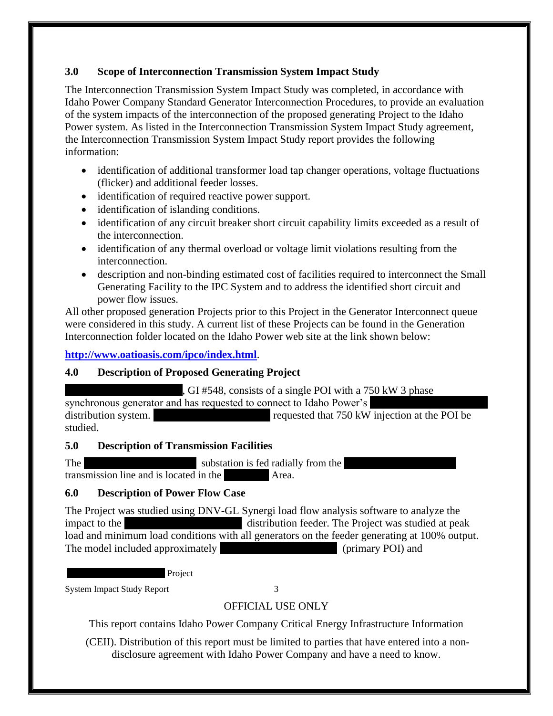### <span id="page-7-0"></span>**3.0 Scope of Interconnection Transmission System Impact Study**

The Interconnection Transmission System Impact Study was completed, in accordance with Idaho Power Company Standard Generator Interconnection Procedures, to provide an evaluation of the system impacts of the interconnection of the proposed generating Project to the Idaho Power system. As listed in the Interconnection Transmission System Impact Study agreement, the Interconnection Transmission System Impact Study report provides the following information:

- identification of additional transformer load tap changer operations, voltage fluctuations (flicker) and additional feeder losses.
- identification of required reactive power support.
- identification of islanding conditions.
- identification of any circuit breaker short circuit capability limits exceeded as a result of the interconnection.
- identification of any thermal overload or voltage limit violations resulting from the interconnection.
- description and non-binding estimated cost of facilities required to interconnect the Small Generating Facility to the IPC System and to address the identified short circuit and power flow issues.

All other proposed generation Projects prior to this Project in the Generator Interconnect queue were considered in this study. A current list of these Projects can be found in the Generation Interconnection folder located on the Idaho Power web site at the link shown below:

### **<http://www.oatioasis.com/ipco/index.html>**.

# <span id="page-7-1"></span>**4.0 Description of Proposed Generating Project**

 $\overline{X}$ , GI #548, consists of a single POI with a 750 kW 3 phase synchronous generator and has requested to connect to Idaho Power's distribution system. The requested that 750 kW injection at the POI be studied.

#### <span id="page-7-2"></span>**5.0 Description of Transmission Facilities**

The substation is fed radially from the transmission line and is located in the XXX Area.

#### <span id="page-7-3"></span>**6.0 Description of Power Flow Case**

The Project was studied using DNV-GL Synergi load flow analysis software to analyze the impact to the  $\mu$  distribution feeder. The Project was studied at peak load and minimum load conditions with all generators on the feeder generating at 100% output. The model included approximately (primary POI) and

Project

System Impact Study Report 3

# OFFICIAL USE ONLY

This report contains Idaho Power Company Critical Energy Infrastructure Information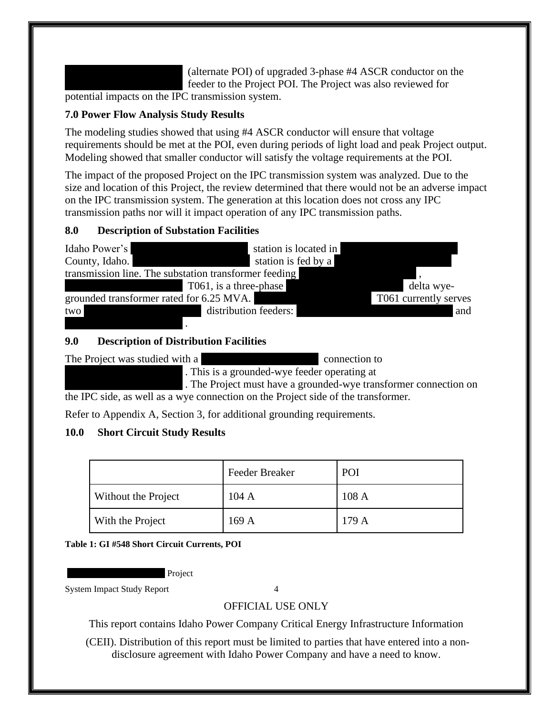(alternate POI) of upgraded 3-phase  $#4$  ASCR conductor on the feeder to the Project POI. The Project was also reviewed for

potential impacts on the IPC transmission system.

### <span id="page-8-0"></span>**7.0 Power Flow Analysis Study Results**

The modeling studies showed that using #4 ASCR conductor will ensure that voltage requirements should be met at the POI, even during periods of light load and peak Project output. Modeling showed that smaller conductor will satisfy the voltage requirements at the POI.

The impact of the proposed Project on the IPC transmission system was analyzed. Due to the size and location of this Project, the review determined that there would not be an adverse impact on the IPC transmission system. The generation at this location does not cross any IPC transmission paths nor will it impact operation of any IPC transmission paths.

#### <span id="page-8-1"></span>**8.0 Description of Substation Facilities**



### <span id="page-8-2"></span>**9.0 Description of Distribution Facilities**

The Project was studied with a XXXXXXXXXX connection to

. This is a grounded-wye feeder operating at

The Project must have a grounded-wye transformer connection on the IPC side, as well as a wye connection on the Project side of the transformer.

Refer to Appendix A, Section 3, for additional grounding requirements.

# <span id="page-8-3"></span>**10.0 Short Circuit Study Results**

|                     | <b>Feeder Breaker</b> | POI  |
|---------------------|-----------------------|------|
| Without the Project | 104A                  | 108A |
| With the Project    | 169A                  | 179A |

<span id="page-8-4"></span>**Table 1: GI #548 Short Circuit Currents, POI**

Project

System Impact Study Report 4

# OFFICIAL USE ONLY

This report contains Idaho Power Company Critical Energy Infrastructure Information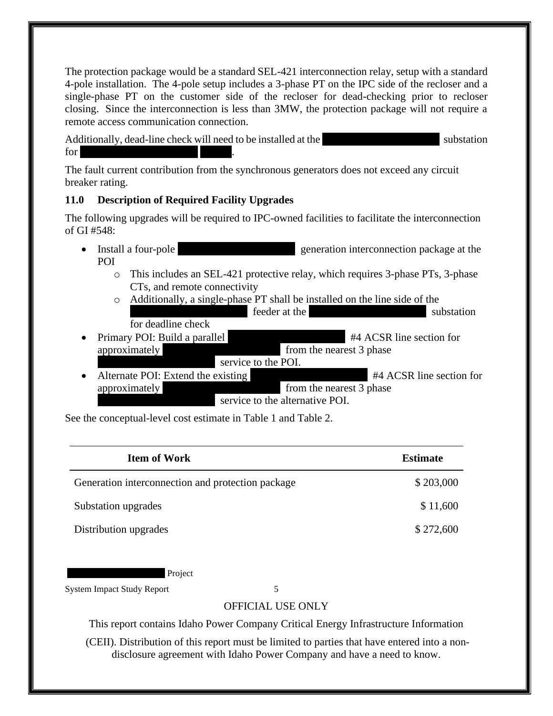The protection package would be a standard SEL-421 interconnection relay, setup with a standard 4-pole installation. The 4-pole setup includes a 3-phase PT on the IPC side of the recloser and a single-phase PT on the customer side of the recloser for dead-checking prior to recloser closing. Since the interconnection is less than 3MW, the protection package will not require a remote access communication connection.

Additionally, dead-line check will need to be installed at the substation substation  $for<sub>x</sub>$ 

The fault current contribution from the synchronous generators does not exceed any circuit breaker rating.

#### <span id="page-9-0"></span>**11.0 Description of Required Facility Upgrades**

The following upgrades will be required to IPC-owned facilities to facilitate the interconnection of GI  $#548$ :

- Install a four-pole yeneration interconnection package at the POI
	- o This includes an SEL-421 protective relay, which requires 3-phase PTs, 3-phase CTs, and remote connectivity
	- o Additionally, a single-phase PT shall be installed on the line side of the XXXXXXXXXXXXXXX feeder at the XXXXXXXXXXXXXXX substation for deadline check
- Primary POI: Build a parallel  $\#4$  ACSR line section for approximately  $\sim$  from the nearest 3 phase service to the POI.
- Alternate POI: Extend the existing #4 ACSR line section for approximately  $\sim$  from the nearest 3 phase service to the alternative POI.

See the conceptual-level cost estimate in Table 1 and Table 2.

| <b>Item of Work</b>                               | <b>Estimate</b> |
|---------------------------------------------------|-----------------|
| Generation interconnection and protection package | \$203,000       |
| Substation upgrades                               | \$11,600        |
| Distribution upgrades                             | \$272,600       |

Project

System Impact Study Report 5

# OFFICIAL USE ONLY

This report contains Idaho Power Company Critical Energy Infrastructure Information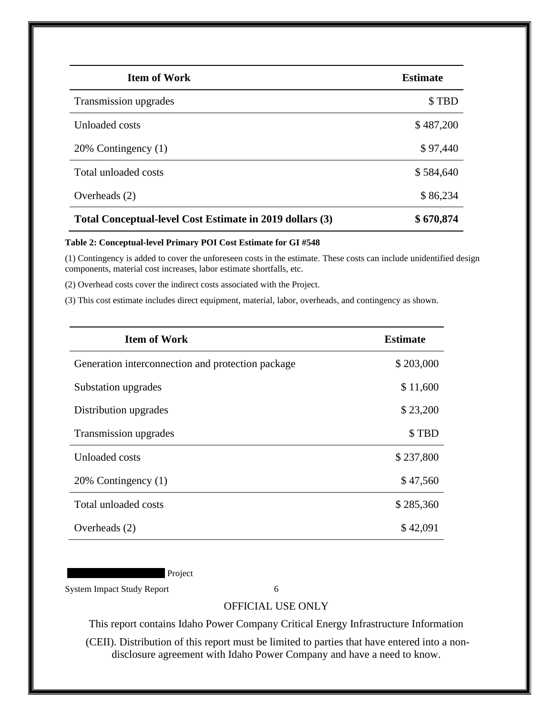| <b>Item of Work</b>                                      | <b>Estimate</b> |
|----------------------------------------------------------|-----------------|
| Transmission upgrades                                    | \$TBD           |
| Unloaded costs                                           | \$487,200       |
| 20% Contingency (1)                                      | \$97,440        |
| Total unloaded costs                                     | \$584,640       |
| Overheads $(2)$                                          | \$86,234        |
| Total Conceptual-level Cost Estimate in 2019 dollars (3) | \$670,874       |

#### <span id="page-10-0"></span>**Table 2: Conceptual-level Primary POI Cost Estimate for GI #548**

(1) Contingency is added to cover the unforeseen costs in the estimate. These costs can include unidentified design components, material cost increases, labor estimate shortfalls, etc.

(2) Overhead costs cover the indirect costs associated with the Project.

(3) This cost estimate includes direct equipment, material, labor, overheads, and contingency as shown.

| <b>Item of Work</b>                               | <b>Estimate</b> |
|---------------------------------------------------|-----------------|
| Generation interconnection and protection package | \$203,000       |
| Substation upgrades                               | \$11,600        |
| Distribution upgrades                             | \$23,200        |
| Transmission upgrades                             | \$TBD           |
| Unloaded costs                                    | \$237,800       |
| 20% Contingency (1)                               | \$47,560        |
| Total unloaded costs                              | \$285,360       |
| Overheads $(2)$                                   | \$42,091        |

Project

System Impact Study Report 6

#### OFFICIAL USE ONLY

This report contains Idaho Power Company Critical Energy Infrastructure Information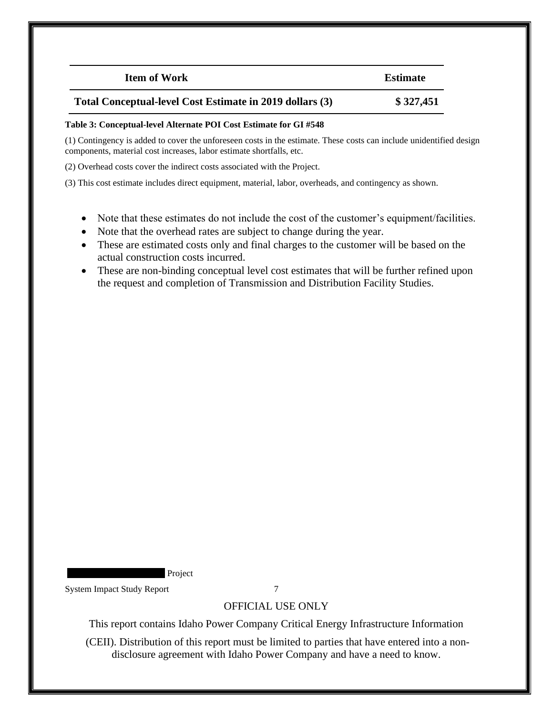| <b>Item of Work</b>                                      | <b>Estimate</b> |
|----------------------------------------------------------|-----------------|
| Total Conceptual-level Cost Estimate in 2019 dollars (3) | \$327,451       |

#### <span id="page-11-0"></span>**Table 3: Conceptual-level Alternate POI Cost Estimate for GI #548**

(1) Contingency is added to cover the unforeseen costs in the estimate. These costs can include unidentified design components, material cost increases, labor estimate shortfalls, etc.

(2) Overhead costs cover the indirect costs associated with the Project.

(3) This cost estimate includes direct equipment, material, labor, overheads, and contingency as shown.

- Note that these estimates do not include the cost of the customer's equipment/facilities.
- Note that the overhead rates are subject to change during the year.
- These are estimated costs only and final charges to the customer will be based on the actual construction costs incurred.
- These are non-binding conceptual level cost estimates that will be further refined upon the request and completion of Transmission and Distribution Facility Studies.

Project

System Impact Study Report 7

#### OFFICIAL USE ONLY

This report contains Idaho Power Company Critical Energy Infrastructure Information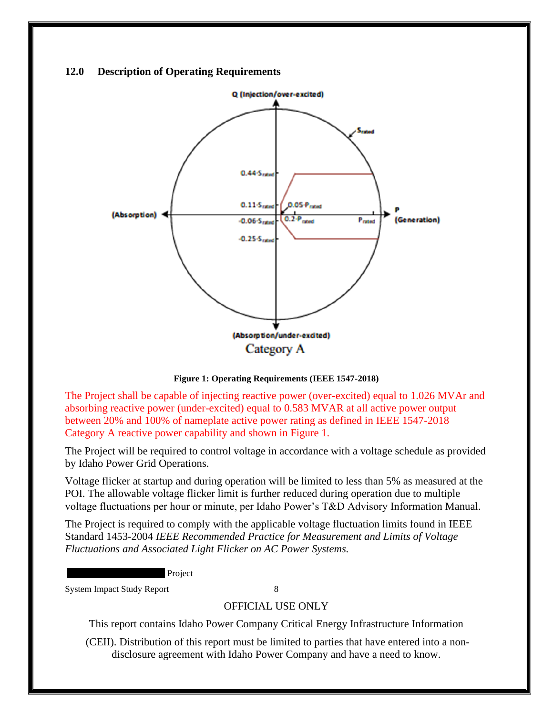#### <span id="page-12-0"></span>**12.0 Description of Operating Requirements**



**Figure 1: Operating Requirements (IEEE 1547-2018)**

<span id="page-12-1"></span>The Project shall be capable of injecting reactive power (over-excited) equal to 1.026 MVAr and absorbing reactive power (under-excited) equal to 0.583 MVAR at all active power output between 20% and 100% of nameplate active power rating as defined in IEEE 1547-2018 Category A reactive power capability and shown in Figure 1.

The Project will be required to control voltage in accordance with a voltage schedule as provided by Idaho Power Grid Operations.

Voltage flicker at startup and during operation will be limited to less than 5% as measured at the POI. The allowable voltage flicker limit is further reduced during operation due to multiple voltage fluctuations per hour or minute, per Idaho Power's T&D Advisory Information Manual.

The Project is required to comply with the applicable voltage fluctuation limits found in IEEE Standard 1453-2004 *IEEE Recommended Practice for Measurement and Limits of Voltage Fluctuations and Associated Light Flicker on AC Power Systems.* 

**Project** 

System Impact Study Report 8

#### OFFICIAL USE ONLY

This report contains Idaho Power Company Critical Energy Infrastructure Information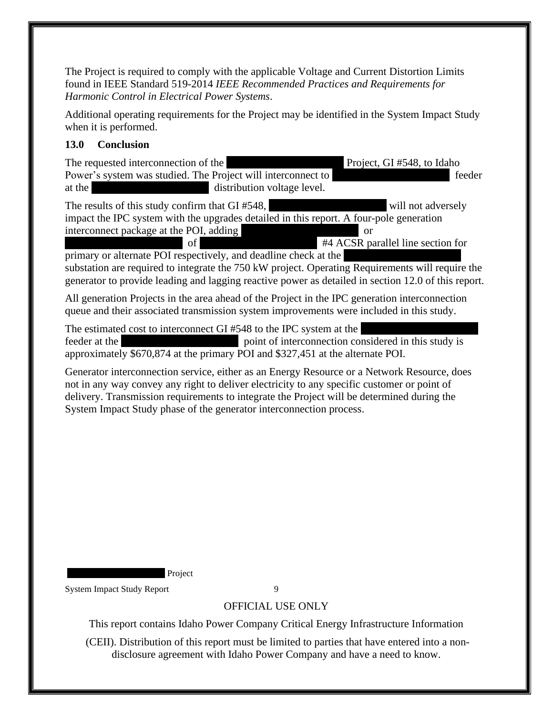The Project is required to comply with the applicable Voltage and Current Distortion Limits found in IEEE Standard 519-2014 *IEEE Recommended Practices and Requirements for Harmonic Control in Electrical Power Systems*.

Additional operating requirements for the Project may be identified in the System Impact Study when it is performed.

#### <span id="page-13-0"></span>**13.0 Conclusion**

The requested interconnection of the Theorem 2012 Project, GI #548, to Idaho Power's system was studied. The Project will interconnect to  $\blacksquare$ at the  $\alpha$  distribution voltage level.

The results of this study confirm that GI #548, Will not adversely impact the IPC system with the upgrades detailed in this report. A four-pole generation interconnect package at the POI, adding  $\overline{\phantom{a}}$  or of #4 ACSR parallel line section for

primary or alternate POI respectively, and deadline check at the substation are required to integrate the 750 kW project. Operating Requirements will require the generator to provide leading and lagging reactive power as detailed in section 12.0 of this report.

All generation Projects in the area ahead of the Project in the IPC generation interconnection queue and their associated transmission system improvements were included in this study.

The estimated cost to interconnect GI  $#548$  to the IPC system at the feeder at the vehicle spoint of interconnection considered in this study is approximately \$670,874 at the primary POI and \$327,451 at the alternate POI.

Generator interconnection service, either as an Energy Resource or a Network Resource, does not in any way convey any right to deliver electricity to any specific customer or point of delivery. Transmission requirements to integrate the Project will be determined during the System Impact Study phase of the generator interconnection process.

Project

System Impact Study Report 9

# OFFICIAL USE ONLY

This report contains Idaho Power Company Critical Energy Infrastructure Information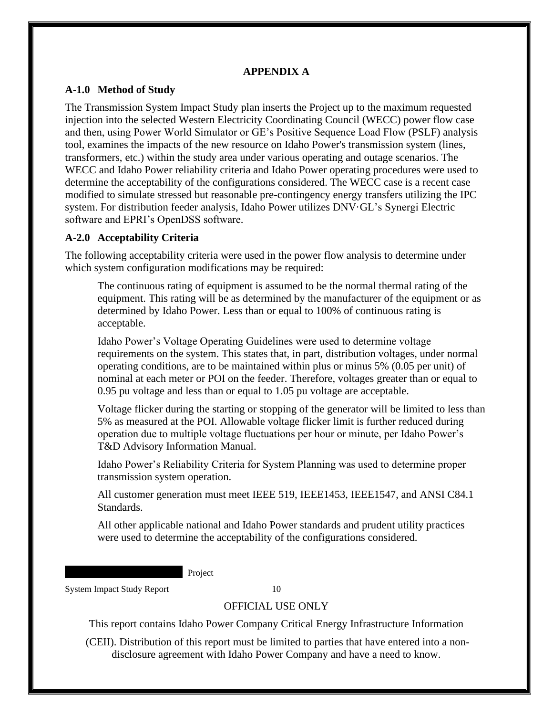#### **APPENDIX A**

#### <span id="page-14-1"></span><span id="page-14-0"></span>**A-1.0 Method of Study**

The Transmission System Impact Study plan inserts the Project up to the maximum requested injection into the selected Western Electricity Coordinating Council (WECC) power flow case and then, using Power World Simulator or GE's Positive Sequence Load Flow (PSLF) analysis tool, examines the impacts of the new resource on Idaho Power's transmission system (lines, transformers, etc.) within the study area under various operating and outage scenarios. The WECC and Idaho Power reliability criteria and Idaho Power operating procedures were used to determine the acceptability of the configurations considered. The WECC case is a recent case modified to simulate stressed but reasonable pre-contingency energy transfers utilizing the IPC system. For distribution feeder analysis, Idaho Power utilizes DNV·GL's Synergi Electric software and EPRI's OpenDSS software.

#### <span id="page-14-2"></span>**A-2.0 Acceptability Criteria**

The following acceptability criteria were used in the power flow analysis to determine under which system configuration modifications may be required:

The continuous rating of equipment is assumed to be the normal thermal rating of the equipment. This rating will be as determined by the manufacturer of the equipment or as determined by Idaho Power. Less than or equal to 100% of continuous rating is acceptable.

Idaho Power's Voltage Operating Guidelines were used to determine voltage requirements on the system. This states that, in part, distribution voltages, under normal operating conditions, are to be maintained within plus or minus 5% (0.05 per unit) of nominal at each meter or POI on the feeder. Therefore, voltages greater than or equal to 0.95 pu voltage and less than or equal to 1.05 pu voltage are acceptable.

Voltage flicker during the starting or stopping of the generator will be limited to less than 5% as measured at the POI. Allowable voltage flicker limit is further reduced during operation due to multiple voltage fluctuations per hour or minute, per Idaho Power's T&D Advisory Information Manual.

Idaho Power's Reliability Criteria for System Planning was used to determine proper transmission system operation.

All customer generation must meet IEEE 519, IEEE1453, IEEE1547, and ANSI C84.1 Standards.

All other applicable national and Idaho Power standards and prudent utility practices were used to determine the acceptability of the configurations considered.

Project

System Impact Study Report 10

#### OFFICIAL USE ONLY

This report contains Idaho Power Company Critical Energy Infrastructure Information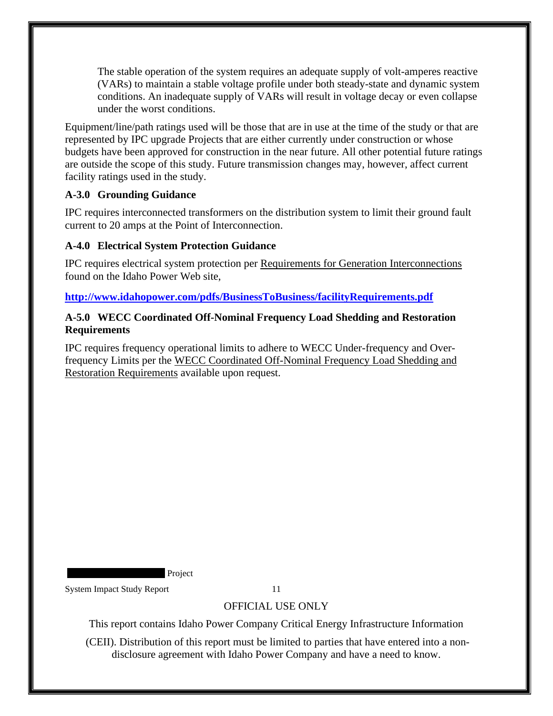The stable operation of the system requires an adequate supply of volt-amperes reactive (VARs) to maintain a stable voltage profile under both steady-state and dynamic system conditions. An inadequate supply of VARs will result in voltage decay or even collapse under the worst conditions.

Equipment/line/path ratings used will be those that are in use at the time of the study or that are represented by IPC upgrade Projects that are either currently under construction or whose budgets have been approved for construction in the near future. All other potential future ratings are outside the scope of this study. Future transmission changes may, however, affect current facility ratings used in the study.

#### <span id="page-15-0"></span>**A-3.0 Grounding Guidance**

IPC requires interconnected transformers on the distribution system to limit their ground fault current to 20 amps at the Point of Interconnection.

### <span id="page-15-1"></span>**A-4.0 Electrical System Protection Guidance**

IPC requires electrical system protection per Requirements for Generation Interconnections found on the Idaho Power Web site,

**<http://www.idahopower.com/pdfs/BusinessToBusiness/facilityRequirements.pdf>**

#### <span id="page-15-2"></span>**A-5.0 WECC Coordinated Off-Nominal Frequency Load Shedding and Restoration Requirements**

IPC requires frequency operational limits to adhere to WECC Under-frequency and Overfrequency Limits per the WECC Coordinated Off-Nominal Frequency Load Shedding and Restoration Requirements available upon request.

Project

System Impact Study Report 11

# OFFICIAL USE ONLY

This report contains Idaho Power Company Critical Energy Infrastructure Information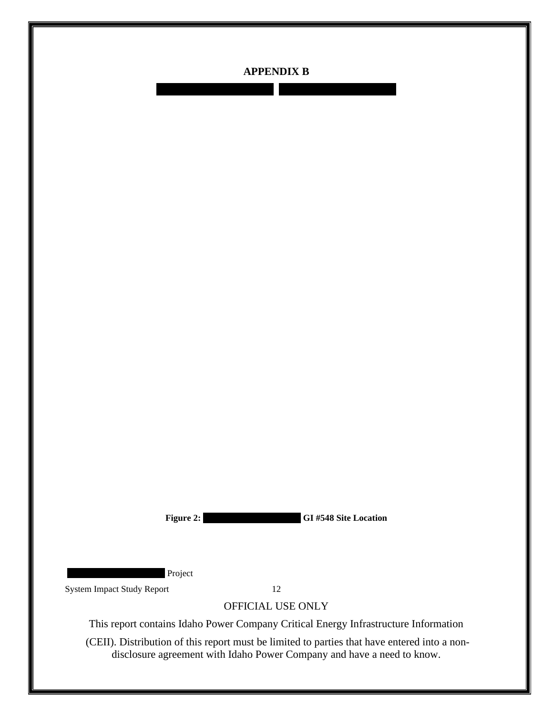

<span id="page-16-0"></span>XXXXXXXXXXXXXXX XXXXXXXXXXXXXXX

**Figure 2: XXXXXXXXXXXXXXX GI #548 Site Location**

Project

<span id="page-16-1"></span>System Impact Study Report 12

OFFICIAL USE ONLY

This report contains Idaho Power Company Critical Energy Infrastructure Information